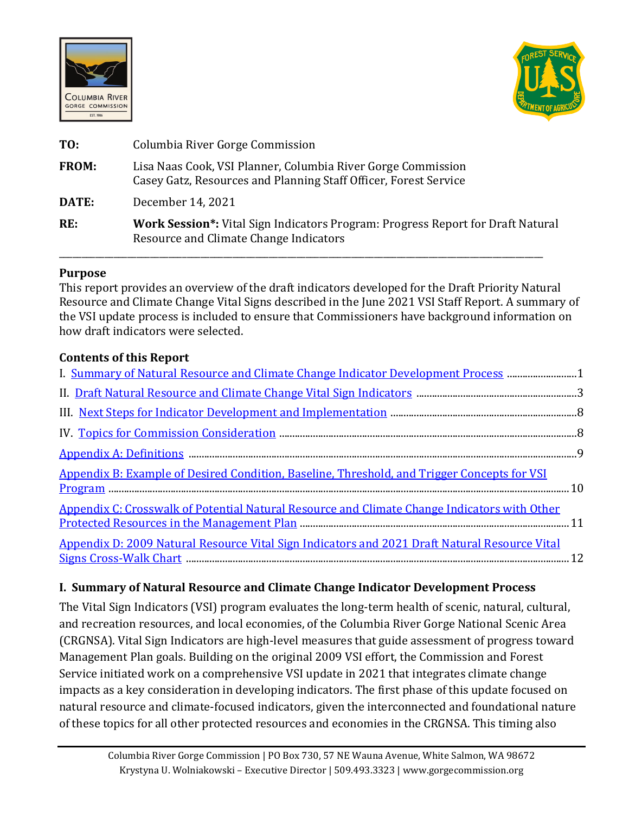



| TO:          | Columbia River Gorge Commission                                                                                                  |
|--------------|----------------------------------------------------------------------------------------------------------------------------------|
| <b>FROM:</b> | Lisa Naas Cook, VSI Planner, Columbia River Gorge Commission<br>Casey Gatz, Resources and Planning Staff Officer, Forest Service |
| DATE:        | December 14, 2021                                                                                                                |
| RE:          | <b>Work Session*:</b> Vital Sign Indicators Program: Progress Report for Draft Natural<br>Resource and Climate Change Indicators |

### **Purpose**

This report provides an overview of the draft indicators developed for the Draft Priority Natural Resource and Climate Change Vital Signs described in the June 2021 VSI Staff Report. A summary of the VSI update process is included to ensure that Commissioners have background information on how draft indicators were selected.

#### **Contents of this Report**

| I. Summary of Natural Resource and Climate Change Indicator Development Process 1             |  |
|-----------------------------------------------------------------------------------------------|--|
|                                                                                               |  |
|                                                                                               |  |
|                                                                                               |  |
|                                                                                               |  |
| Appendix B: Example of Desired Condition, Baseline, Threshold, and Trigger Concepts for VSI   |  |
| Appendix C: Crosswalk of Potential Natural Resource and Climate Change Indicators with Other  |  |
| Appendix D: 2009 Natural Resource Vital Sign Indicators and 2021 Draft Natural Resource Vital |  |

## <span id="page-0-0"></span>**I. Summary of Natural Resource and Climate Change Indicator Development Process**

The Vital Sign Indicators (VSI) program evaluates the long-term health of scenic, natural, cultural, and recreation resources, and local economies, of the Columbia River Gorge National Scenic Area (CRGNSA). Vital Sign Indicators are high-level measures that guide assessment of progress toward Management Plan goals. Building on the original 2009 VSI effort, the Commission and Forest Service initiated work on a comprehensive VSI update in 2021 that integrates climate change impacts as a key consideration in developing indicators. The first phase of this update focused on natural resource and climate-focused indicators, given the interconnected and foundational nature of these topics for all other protected resources and economies in the CRGNSA. This timing also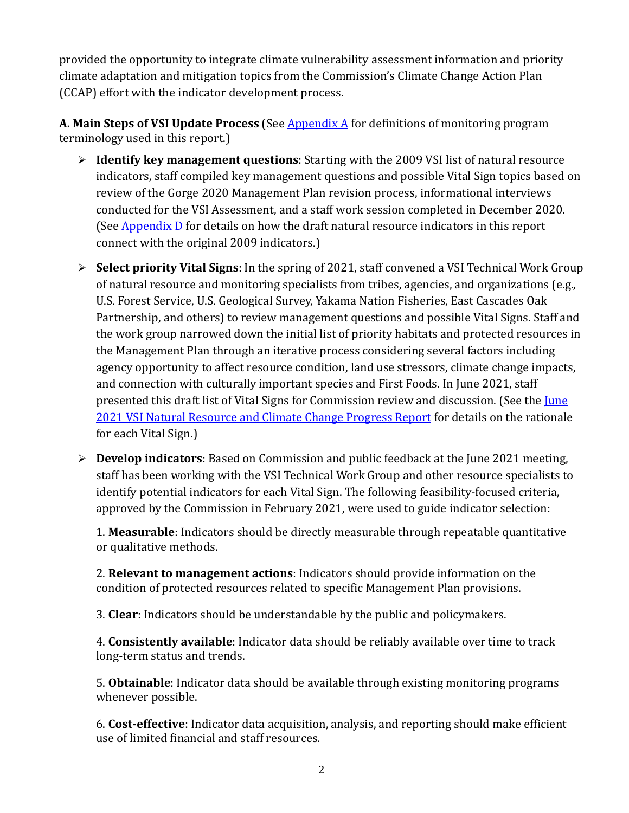provided the opportunity to integrate climate vulnerability assessment information and priority climate adaptation and mitigation topics from the Commission's Climate Change Action Plan (CCAP) effort with the indicator development process.

A. Main Steps of VSI Update Process (See **Appendix A** for definitions of monitoring program terminology used in this report.)

- **Identify key management questions**: Starting with the 2009 VSI list of natural resource indicators, staff compiled key management questions and possible Vital Sign topics based on review of the Gorge 2020 Management Plan revision process, informational interviews conducted for the VSI Assessment, and a staff work session completed in December 2020. (See [Appendix D](#page-11-0) for details on how the draft natural resource indicators in this report connect with the original 2009 indicators.)
- **Select priority Vital Signs**: In the spring of 2021, staff convened a VSI Technical Work Group of natural resource and monitoring specialists from tribes, agencies, and organizations (e.g., U.S. Forest Service, U.S. Geological Survey, Yakama Nation Fisheries, East Cascades Oak Partnership, and others) to review management questions and possible Vital Signs. Staff and the work group narrowed down the initial list of priority habitats and protected resources in the Management Plan through an iterative process considering several factors including agency opportunity to affect resource condition, land use stressors, climate change impacts, and connection with culturally important species and First Foods. In June 2021, staff presented this draft list of Vital Signs for Commission review and discussion. (See the June [2021 VSI Natural Resource and Climate Change Progress Report](http://www.gorgecommission.org/images/uploads/pages/Staff_Report_-_Vital_Sign_Indicators_Work_Session.pdf) for details on the rationale for each Vital Sign.)
- **Develop indicators**: Based on Commission and public feedback at the June 2021 meeting, staff has been working with the VSI Technical Work Group and other resource specialists to identify potential indicators for each Vital Sign. The following feasibility-focused criteria, approved by the Commission in February 2021, were used to guide indicator selection:

1. **Measurable**: Indicators should be directly measurable through repeatable quantitative or qualitative methods.

2. **Relevant to management actions**: Indicators should provide information on the condition of protected resources related to specific Management Plan provisions.

3. **Clear**: Indicators should be understandable by the public and policymakers.

4. **Consistently available**: Indicator data should be reliably available over time to track long-term status and trends.

5. **Obtainable**: Indicator data should be available through existing monitoring programs whenever possible.

6. **Cost-effective**: Indicator data acquisition, analysis, and reporting should make efficient use of limited financial and staff resources.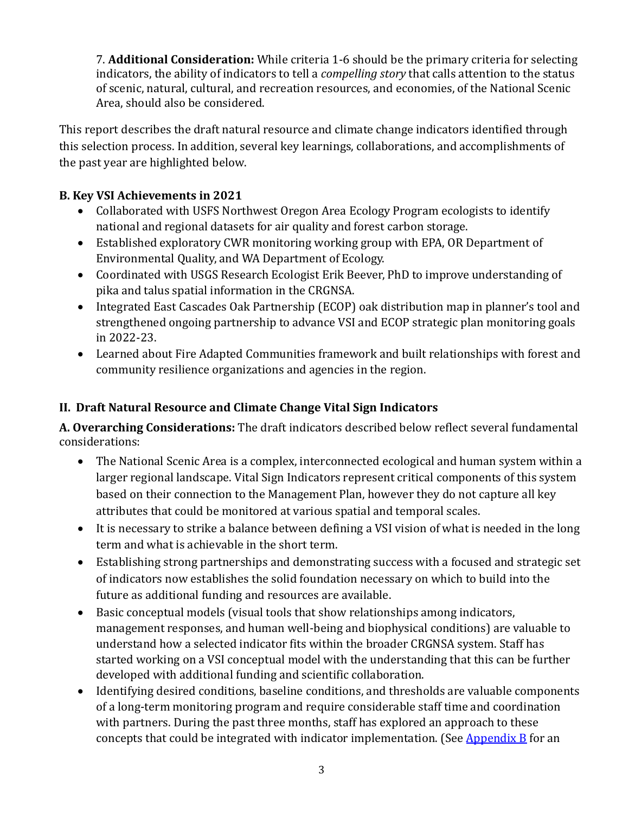7. **Additional Consideration:** While criteria 1-6 should be the primary criteria for selecting indicators, the ability of indicators to tell a *compelling story* that calls attention to the status of scenic, natural, cultural, and recreation resources, and economies, of the National Scenic Area, should also be considered.

This report describes the draft natural resource and climate change indicators identified through this selection process. In addition, several key learnings, collaborations, and accomplishments of the past year are highlighted below.

## **B. Key VSI Achievements in 2021**

- Collaborated with USFS Northwest Oregon Area Ecology Program ecologists to identify national and regional datasets for air quality and forest carbon storage.
- Established exploratory CWR monitoring working group with EPA, OR Department of Environmental Quality, and WA Department of Ecology.
- Coordinated with USGS Research Ecologist Erik Beever, PhD to improve understanding of pika and talus spatial information in the CRGNSA.
- Integrated East Cascades Oak Partnership (ECOP) oak distribution map in planner's tool and strengthened ongoing partnership to advance VSI and ECOP strategic plan monitoring goals in 2022-23.
- Learned about Fire Adapted Communities framework and built relationships with forest and community resilience organizations and agencies in the region.

# <span id="page-2-0"></span>**II. Draft Natural Resource and Climate Change Vital Sign Indicators**

**A. Overarching Considerations:** The draft indicators described below reflect several fundamental considerations:

- The National Scenic Area is a complex, interconnected ecological and human system within a larger regional landscape. Vital Sign Indicators represent critical components of this system based on their connection to the Management Plan, however they do not capture all key attributes that could be monitored at various spatial and temporal scales.
- It is necessary to strike a balance between defining a VSI vision of what is needed in the long term and what is achievable in the short term.
- Establishing strong partnerships and demonstrating success with a focused and strategic set of indicators now establishes the solid foundation necessary on which to build into the future as additional funding and resources are available.
- Basic conceptual models (visual tools that show relationships among indicators, management responses, and human well-being and biophysical conditions) are valuable to understand how a selected indicator fits within the broader CRGNSA system. Staff has started working on a VSI conceptual model with the understanding that this can be further developed with additional funding and scientific collaboration.
- Identifying desired conditions, baseline conditions, and thresholds are valuable components of a long-term monitoring program and require considerable staff time and coordination with partners. During the past three months, staff has explored an approach to these concepts that could be integrated with indicator implementation. (See  $\Delta$ ppendix  $\overline{B}$  for an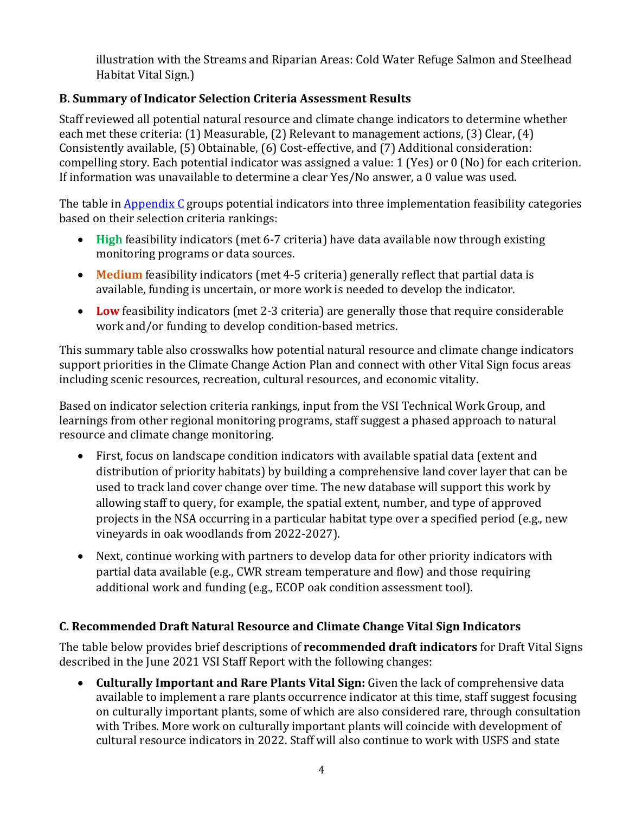illustration with the Streams and Riparian Areas: Cold Water Refuge Salmon and Steelhead Habitat Vital Sign.)

## **B. Summary of Indicator Selection Criteria Assessment Results**

Staff reviewed all potential natural resource and climate change indicators to determine whether each met these criteria: (1) Measurable, (2) Relevant to management actions, (3) Clear, (4) Consistently available, (5) Obtainable, (6) Cost-effective, and (7) Additional consideration: compelling story. Each potential indicator was assigned a value: 1 (Yes) or 0 (No) for each criterion. If information was unavailable to determine a clear Yes/No answer, a 0 value was used.

The table i[n Appendix C](#page-10-0) groups potential indicators into three implementation feasibility categories based on their selection criteria rankings:

- **High** feasibility indicators (met 6-7 criteria) have data available now through existing monitoring programs or data sources.
- **Medium** feasibility indicators (met 4-5 criteria) generally reflect that partial data is available, funding is uncertain, or more work is needed to develop the indicator.
- **Low** feasibility indicators (met 2-3 criteria) are generally those that require considerable work and/or funding to develop condition-based metrics.

This summary table also crosswalks how potential natural resource and climate change indicators support priorities in the Climate Change Action Plan and connect with other Vital Sign focus areas including scenic resources, recreation, cultural resources, and economic vitality.

Based on indicator selection criteria rankings, input from the VSI Technical Work Group, and learnings from other regional monitoring programs, staff suggest a phased approach to natural resource and climate change monitoring.

- First, focus on landscape condition indicators with available spatial data (extent and distribution of priority habitats) by building a comprehensive land cover layer that can be used to track land cover change over time. The new database will support this work by allowing staff to query, for example, the spatial extent, number, and type of approved projects in the NSA occurring in a particular habitat type over a specified period (e.g., new vineyards in oak woodlands from 2022-2027).
- Next, continue working with partners to develop data for other priority indicators with partial data available (e.g., CWR stream temperature and flow) and those requiring additional work and funding (e.g., ECOP oak condition assessment tool).

### **C. Recommended Draft Natural Resource and Climate Change Vital Sign Indicators**

The table below provides brief descriptions of **recommended draft indicators** for Draft Vital Signs described in the June 2021 VSI Staff Report with the following changes:

• **Culturally Important and Rare Plants Vital Sign:** Given the lack of comprehensive data available to implement a rare plants occurrence indicator at this time, staff suggest focusing on culturally important plants, some of which are also considered rare, through consultation with Tribes. More work on culturally important plants will coincide with development of cultural resource indicators in 2022. Staff will also continue to work with USFS and state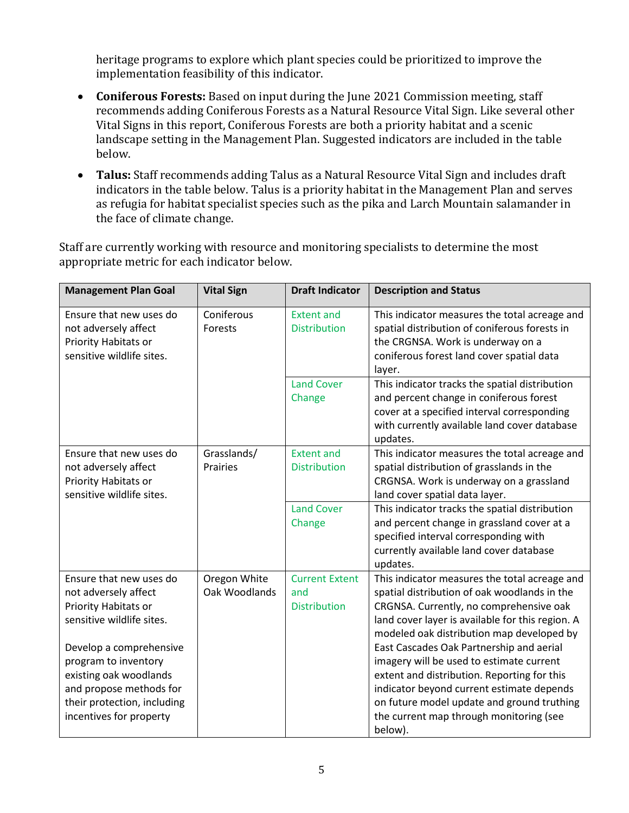heritage programs to explore which plant species could be prioritized to improve the implementation feasibility of this indicator.

- **Coniferous Forests:** Based on input during the June 2021 Commission meeting, staff recommends adding Coniferous Forests as a Natural Resource Vital Sign. Like several other Vital Signs in this report, Coniferous Forests are both a priority habitat and a scenic landscape setting in the Management Plan. Suggested indicators are included in the table below.
- **Talus:** Staff recommends adding Talus as a Natural Resource Vital Sign and includes draft indicators in the table below. Talus is a priority habitat in the Management Plan and serves as refugia for habitat specialist species such as the pika and Larch Mountain salamander in the face of climate change.

Staff are currently working with resource and monitoring specialists to determine the most appropriate metric for each indicator below.

| <b>Management Plan Goal</b>                                                                                                                                                                                                                                            | <b>Vital Sign</b>             | <b>Draft Indicator</b>                              | <b>Description and Status</b>                                                                                                                                                                                                                                                                                                                                                                                                                                                                                                     |
|------------------------------------------------------------------------------------------------------------------------------------------------------------------------------------------------------------------------------------------------------------------------|-------------------------------|-----------------------------------------------------|-----------------------------------------------------------------------------------------------------------------------------------------------------------------------------------------------------------------------------------------------------------------------------------------------------------------------------------------------------------------------------------------------------------------------------------------------------------------------------------------------------------------------------------|
| Ensure that new uses do<br>not adversely affect<br>Priority Habitats or<br>sensitive wildlife sites.                                                                                                                                                                   | Coniferous<br>Forests         | <b>Extent and</b><br><b>Distribution</b>            | This indicator measures the total acreage and<br>spatial distribution of coniferous forests in<br>the CRGNSA. Work is underway on a<br>coniferous forest land cover spatial data<br>layer.                                                                                                                                                                                                                                                                                                                                        |
|                                                                                                                                                                                                                                                                        |                               | <b>Land Cover</b><br>Change                         | This indicator tracks the spatial distribution<br>and percent change in coniferous forest<br>cover at a specified interval corresponding<br>with currently available land cover database<br>updates.                                                                                                                                                                                                                                                                                                                              |
| Ensure that new uses do<br>not adversely affect<br>Priority Habitats or<br>sensitive wildlife sites.                                                                                                                                                                   | Grasslands/<br>Prairies       | <b>Extent and</b><br><b>Distribution</b>            | This indicator measures the total acreage and<br>spatial distribution of grasslands in the<br>CRGNSA. Work is underway on a grassland<br>land cover spatial data layer.                                                                                                                                                                                                                                                                                                                                                           |
|                                                                                                                                                                                                                                                                        |                               | <b>Land Cover</b><br>Change                         | This indicator tracks the spatial distribution<br>and percent change in grassland cover at a<br>specified interval corresponding with<br>currently available land cover database<br>updates.                                                                                                                                                                                                                                                                                                                                      |
| Ensure that new uses do<br>not adversely affect<br>Priority Habitats or<br>sensitive wildlife sites.<br>Develop a comprehensive<br>program to inventory<br>existing oak woodlands<br>and propose methods for<br>their protection, including<br>incentives for property | Oregon White<br>Oak Woodlands | <b>Current Extent</b><br>and<br><b>Distribution</b> | This indicator measures the total acreage and<br>spatial distribution of oak woodlands in the<br>CRGNSA. Currently, no comprehensive oak<br>land cover layer is available for this region. A<br>modeled oak distribution map developed by<br>East Cascades Oak Partnership and aerial<br>imagery will be used to estimate current<br>extent and distribution. Reporting for this<br>indicator beyond current estimate depends<br>on future model update and ground truthing<br>the current map through monitoring (see<br>below). |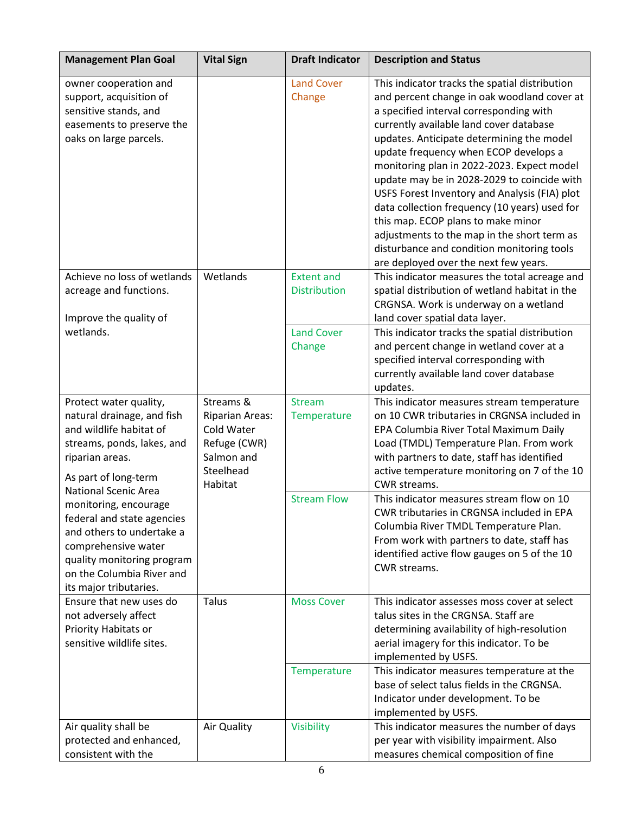| <b>Management Plan Goal</b>                                                                                                                                                                  | <b>Vital Sign</b>                                                                                       | <b>Draft Indicator</b>                   | <b>Description and Status</b>                                                                                                                                                                                                                                                                                                                                                                                                                                                                                                                                                                                                                        |
|----------------------------------------------------------------------------------------------------------------------------------------------------------------------------------------------|---------------------------------------------------------------------------------------------------------|------------------------------------------|------------------------------------------------------------------------------------------------------------------------------------------------------------------------------------------------------------------------------------------------------------------------------------------------------------------------------------------------------------------------------------------------------------------------------------------------------------------------------------------------------------------------------------------------------------------------------------------------------------------------------------------------------|
| owner cooperation and<br>support, acquisition of<br>sensitive stands, and<br>easements to preserve the<br>oaks on large parcels.                                                             |                                                                                                         | <b>Land Cover</b><br>Change              | This indicator tracks the spatial distribution<br>and percent change in oak woodland cover at<br>a specified interval corresponding with<br>currently available land cover database<br>updates. Anticipate determining the model<br>update frequency when ECOP develops a<br>monitoring plan in 2022-2023. Expect model<br>update may be in 2028-2029 to coincide with<br>USFS Forest Inventory and Analysis (FIA) plot<br>data collection frequency (10 years) used for<br>this map. ECOP plans to make minor<br>adjustments to the map in the short term as<br>disturbance and condition monitoring tools<br>are deployed over the next few years. |
| Achieve no loss of wetlands<br>acreage and functions.<br>Improve the quality of                                                                                                              | Wetlands                                                                                                | <b>Extent and</b><br><b>Distribution</b> | This indicator measures the total acreage and<br>spatial distribution of wetland habitat in the<br>CRGNSA. Work is underway on a wetland<br>land cover spatial data layer.                                                                                                                                                                                                                                                                                                                                                                                                                                                                           |
| wetlands.                                                                                                                                                                                    |                                                                                                         | <b>Land Cover</b><br>Change              | This indicator tracks the spatial distribution<br>and percent change in wetland cover at a<br>specified interval corresponding with<br>currently available land cover database<br>updates.                                                                                                                                                                                                                                                                                                                                                                                                                                                           |
| Protect water quality,<br>natural drainage, and fish<br>and wildlife habitat of<br>streams, ponds, lakes, and<br>riparian areas.<br>As part of long-term<br><b>National Scenic Area</b>      | Streams &<br><b>Riparian Areas:</b><br>Cold Water<br>Refuge (CWR)<br>Salmon and<br>Steelhead<br>Habitat | <b>Stream</b><br>Temperature             | This indicator measures stream temperature<br>on 10 CWR tributaries in CRGNSA included in<br>EPA Columbia River Total Maximum Daily<br>Load (TMDL) Temperature Plan. From work<br>with partners to date, staff has identified<br>active temperature monitoring on 7 of the 10<br>CWR streams.                                                                                                                                                                                                                                                                                                                                                        |
| monitoring, encourage<br>federal and state agencies<br>and others to undertake a<br>comprehensive water<br>quality monitoring program<br>on the Columbia River and<br>its major tributaries. |                                                                                                         | <b>Stream Flow</b>                       | This indicator measures stream flow on 10<br>CWR tributaries in CRGNSA included in EPA<br>Columbia River TMDL Temperature Plan.<br>From work with partners to date, staff has<br>identified active flow gauges on 5 of the 10<br>CWR streams.                                                                                                                                                                                                                                                                                                                                                                                                        |
| Ensure that new uses do<br>not adversely affect<br>Priority Habitats or<br>sensitive wildlife sites.                                                                                         | Talus                                                                                                   | <b>Moss Cover</b>                        | This indicator assesses moss cover at select<br>talus sites in the CRGNSA. Staff are<br>determining availability of high-resolution<br>aerial imagery for this indicator. To be<br>implemented by USFS.                                                                                                                                                                                                                                                                                                                                                                                                                                              |
|                                                                                                                                                                                              |                                                                                                         | Temperature                              | This indicator measures temperature at the<br>base of select talus fields in the CRGNSA.<br>Indicator under development. To be<br>implemented by USFS.                                                                                                                                                                                                                                                                                                                                                                                                                                                                                               |
| Air quality shall be<br>protected and enhanced,<br>consistent with the                                                                                                                       | Air Quality                                                                                             | Visibility                               | This indicator measures the number of days<br>per year with visibility impairment. Also<br>measures chemical composition of fine                                                                                                                                                                                                                                                                                                                                                                                                                                                                                                                     |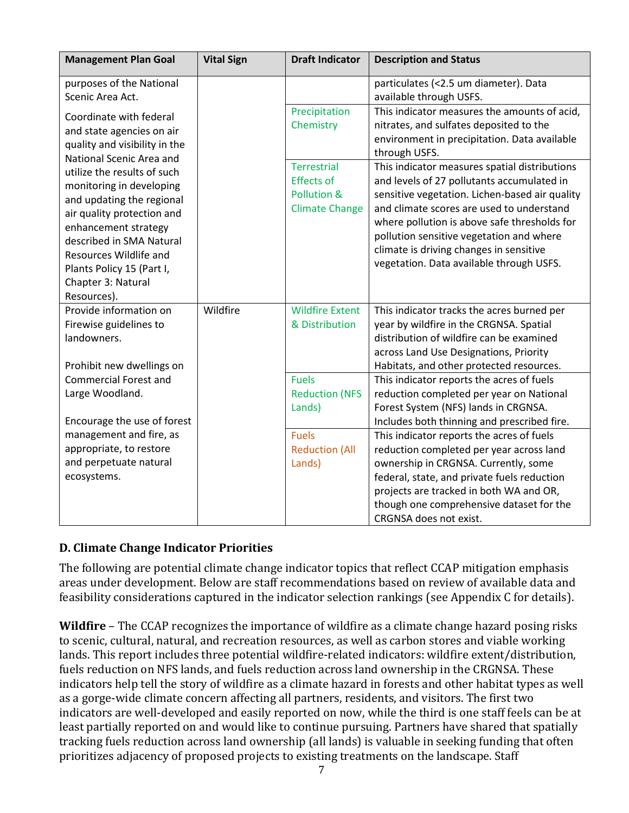| <b>Management Plan Goal</b>                                                                                                                                                                                                                                        | <b>Vital Sign</b> | <b>Draft Indicator</b>                                                          | <b>Description and Status</b>                                                                                                                                                                                                                                                                                                                                                 |
|--------------------------------------------------------------------------------------------------------------------------------------------------------------------------------------------------------------------------------------------------------------------|-------------------|---------------------------------------------------------------------------------|-------------------------------------------------------------------------------------------------------------------------------------------------------------------------------------------------------------------------------------------------------------------------------------------------------------------------------------------------------------------------------|
| purposes of the National<br>Scenic Area Act.                                                                                                                                                                                                                       |                   |                                                                                 | particulates (<2.5 um diameter). Data<br>available through USFS.                                                                                                                                                                                                                                                                                                              |
| Coordinate with federal<br>and state agencies on air<br>quality and visibility in the<br>National Scenic Area and                                                                                                                                                  |                   | Precipitation<br>Chemistry                                                      | This indicator measures the amounts of acid,<br>nitrates, and sulfates deposited to the<br>environment in precipitation. Data available<br>through USFS.                                                                                                                                                                                                                      |
| utilize the results of such<br>monitoring in developing<br>and updating the regional<br>air quality protection and<br>enhancement strategy<br>described in SMA Natural<br>Resources Wildlife and<br>Plants Policy 15 (Part I,<br>Chapter 3: Natural<br>Resources). |                   | <b>Terrestrial</b><br><b>Effects of</b><br>Pollution &<br><b>Climate Change</b> | This indicator measures spatial distributions<br>and levels of 27 pollutants accumulated in<br>sensitive vegetation. Lichen-based air quality<br>and climate scores are used to understand<br>where pollution is above safe thresholds for<br>pollution sensitive vegetation and where<br>climate is driving changes in sensitive<br>vegetation. Data available through USFS. |
| Provide information on<br>Firewise guidelines to<br>landowners.                                                                                                                                                                                                    | Wildfire          | <b>Wildfire Extent</b><br>& Distribution                                        | This indicator tracks the acres burned per<br>year by wildfire in the CRGNSA. Spatial<br>distribution of wildfire can be examined<br>across Land Use Designations, Priority                                                                                                                                                                                                   |
| Prohibit new dwellings on                                                                                                                                                                                                                                          |                   |                                                                                 | Habitats, and other protected resources.                                                                                                                                                                                                                                                                                                                                      |
| <b>Commercial Forest and</b><br>Large Woodland.<br>Encourage the use of forest                                                                                                                                                                                     |                   | <b>Fuels</b><br><b>Reduction (NFS</b><br>Lands)                                 | This indicator reports the acres of fuels<br>reduction completed per year on National<br>Forest System (NFS) lands in CRGNSA.<br>Includes both thinning and prescribed fire.                                                                                                                                                                                                  |
| management and fire, as<br>appropriate, to restore<br>and perpetuate natural                                                                                                                                                                                       |                   | <b>Fuels</b><br><b>Reduction (All</b><br>Lands)                                 | This indicator reports the acres of fuels<br>reduction completed per year across land<br>ownership in CRGNSA. Currently, some                                                                                                                                                                                                                                                 |
| ecosystems.                                                                                                                                                                                                                                                        |                   |                                                                                 | federal, state, and private fuels reduction<br>projects are tracked in both WA and OR,<br>though one comprehensive dataset for the<br>CRGNSA does not exist.                                                                                                                                                                                                                  |

## **D. Climate Change Indicator Priorities**

The following are potential climate change indicator topics that reflect CCAP mitigation emphasis areas under development. Below are staff recommendations based on review of available data and feasibility considerations captured in the indicator selection rankings (see Appendix C for details).

**Wildfire** – The CCAP recognizes the importance of wildfire as a climate change hazard posing risks to scenic, cultural, natural, and recreation resources, as well as carbon stores and viable working lands. This report includes three potential wildfire-related indicators: wildfire extent/distribution, fuels reduction on NFS lands, and fuels reduction across land ownership in the CRGNSA. These indicators help tell the story of wildfire as a climate hazard in forests and other habitat types as well as a gorge-wide climate concern affecting all partners, residents, and visitors. The first two indicators are well-developed and easily reported on now, while the third is one staff feels can be at least partially reported on and would like to continue pursuing. Partners have shared that spatially tracking fuels reduction across land ownership (all lands) is valuable in seeking funding that often prioritizes adjacency of proposed projects to existing treatments on the landscape. Staff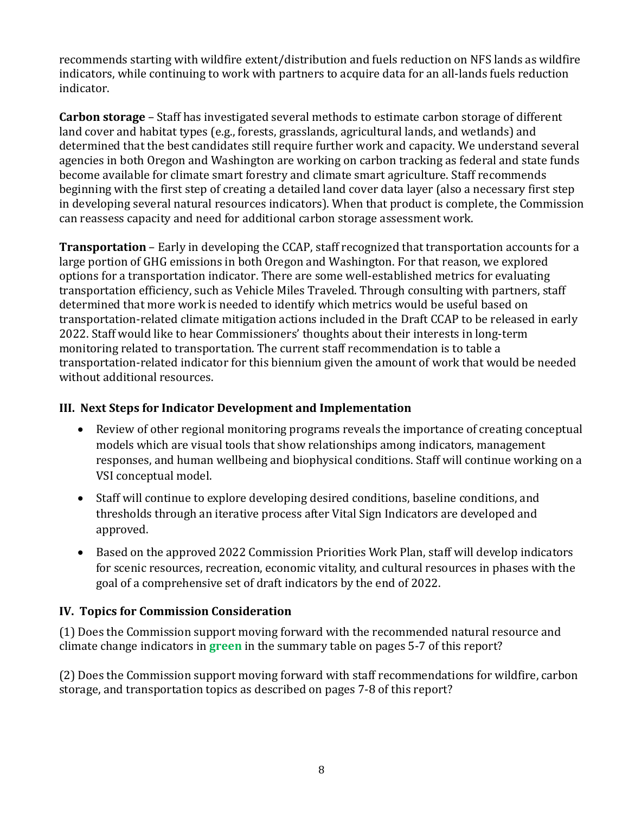recommends starting with wildfire extent/distribution and fuels reduction on NFS lands as wildfire indicators, while continuing to work with partners to acquire data for an all-lands fuels reduction indicator.

**Carbon storage** – Staff has investigated several methods to estimate carbon storage of different land cover and habitat types (e.g., forests, grasslands, agricultural lands, and wetlands) and determined that the best candidates still require further work and capacity. We understand several agencies in both Oregon and Washington are working on carbon tracking as federal and state funds become available for climate smart forestry and climate smart agriculture. Staff recommends beginning with the first step of creating a detailed land cover data layer (also a necessary first step in developing several natural resources indicators). When that product is complete, the Commission can reassess capacity and need for additional carbon storage assessment work.

**Transportation** – Early in developing the CCAP, staff recognized that transportation accounts for a large portion of GHG emissions in both Oregon and Washington. For that reason, we explored options for a transportation indicator. There are some well-established metrics for evaluating transportation efficiency, such as Vehicle Miles Traveled. Through consulting with partners, staff determined that more work is needed to identify which metrics would be useful based on transportation-related climate mitigation actions included in the Draft CCAP to be released in early 2022. Staff would like to hear Commissioners' thoughts about their interests in long-term monitoring related to transportation. The current staff recommendation is to table a transportation-related indicator for this biennium given the amount of work that would be needed without additional resources.

### <span id="page-7-0"></span>**III. Next Steps for Indicator Development and Implementation**

- Review of other regional monitoring programs reveals the importance of creating conceptual models which are visual tools that show relationships among indicators, management responses, and human wellbeing and biophysical conditions. Staff will continue working on a VSI conceptual model.
- Staff will continue to explore developing desired conditions, baseline conditions, and thresholds through an iterative process after Vital Sign Indicators are developed and approved.
- Based on the approved 2022 Commission Priorities Work Plan, staff will develop indicators for scenic resources, recreation, economic vitality, and cultural resources in phases with the goal of a comprehensive set of draft indicators by the end of 2022.

### <span id="page-7-1"></span>**IV. Topics for Commission Consideration**

(1) Does the Commission support moving forward with the recommended natural resource and climate change indicators in **green** in the summary table on pages 5-7 of this report?

(2) Does the Commission support moving forward with staff recommendations for wildfire, carbon storage, and transportation topics as described on pages 7-8 of this report?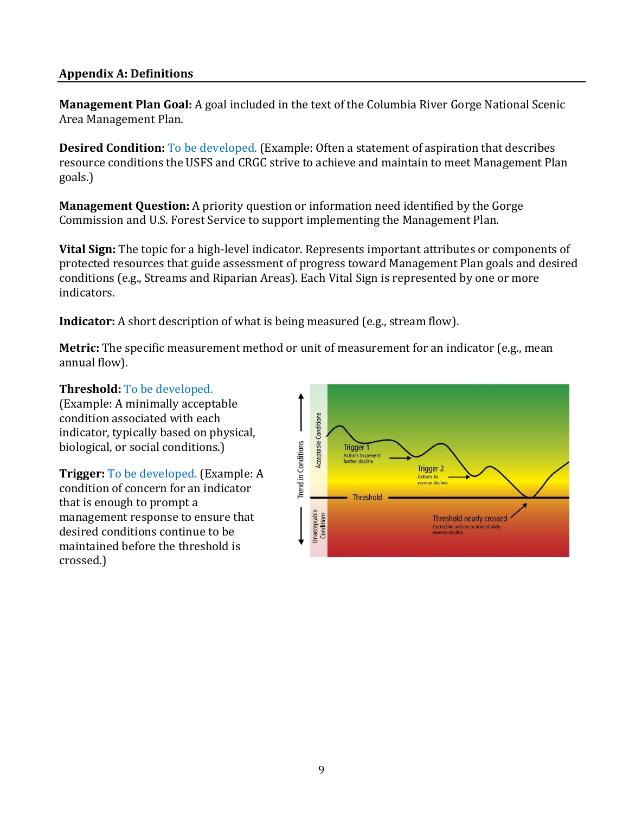#### <span id="page-8-0"></span>**Appendix A: Definitions**

**Management Plan Goal:** A goal included in the text of the Columbia River Gorge National Scenic Area Management Plan.

**Desired Condition:** To be developed. (Example: Often a statement of aspiration that describes resource conditions the USFS and CRGC strive to achieve and maintain to meet Management Plan goals.)

**Management Question:** A priority question or information need identified by the Gorge Commission and U.S. Forest Service to support implementing the Management Plan.

**Vital Sign:** The topic for a high-level indicator. Represents important attributes or components of protected resources that guide assessment of progress toward Management Plan goals and desired conditions (e.g., Streams and Riparian Areas). Each Vital Sign is represented by one or more indicators.

**Indicator:** A short description of what is being measured (e.g., stream flow).

**Metric:** The specific measurement method or unit of measurement for an indicator (e.g., mean annual flow).

#### **Threshold:** To be developed.

(Example: A minimally acceptable condition associated with each indicator, typically based on physical, biological, or social conditions.)

**Trigger:** To be developed. (Example: A condition of concern for an indicator that is enough to prompt a management response to ensure that desired conditions continue to be maintained before the threshold is crossed.)

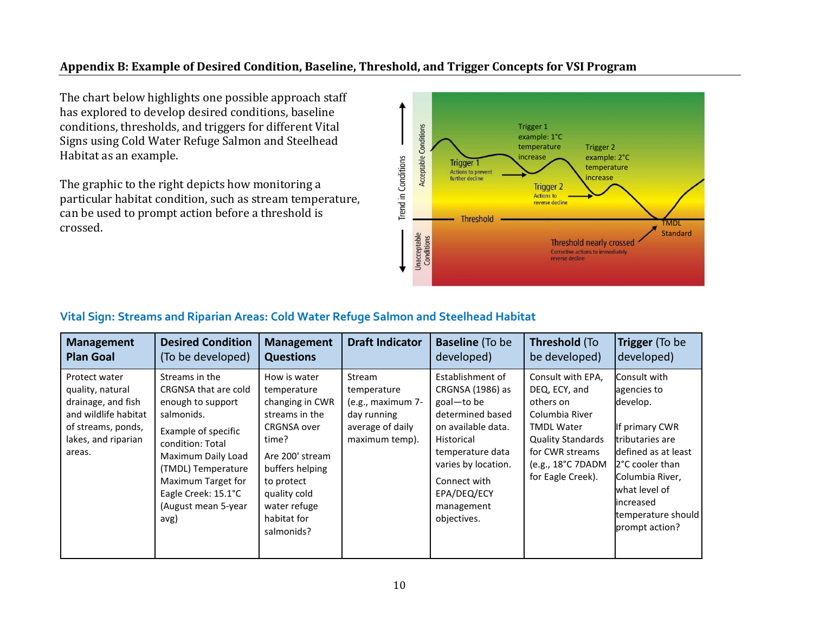#### **Appendix B: Example of Desired Condition, Baseline, Threshold, and Trigger Concepts for VSI Program**

The chart below highlights one possible approach staff has explored to develop desired conditions, baseline conditions, thresholds, and triggers for different Vital Signs using Cold Water Refuge Salmon and Steelhead Habitat as an example.

The graphic to the right depicts how monitoring a particular habitat condition, such as stream temperature, can be used to prompt action before a threshold is crossed.



#### <span id="page-9-0"></span>**Vital Sign: Streams and Riparian Areas: Cold Water Refuge Salmon and Steelhead Habitat**

| <b>Management</b>                                                                                                                      | <b>Desired Condition</b>                                                                                                                                                                                                                     | <b>Management</b>                                                                                                                                                                                                | <b>Draft Indicator</b>                                                                          | <b>Baseline</b> (To be                                                                                                                                                                                            | Threshold (To                                                                                                                                                                   | Trigger (To be                                                                                                                                                                                                  |
|----------------------------------------------------------------------------------------------------------------------------------------|----------------------------------------------------------------------------------------------------------------------------------------------------------------------------------------------------------------------------------------------|------------------------------------------------------------------------------------------------------------------------------------------------------------------------------------------------------------------|-------------------------------------------------------------------------------------------------|-------------------------------------------------------------------------------------------------------------------------------------------------------------------------------------------------------------------|---------------------------------------------------------------------------------------------------------------------------------------------------------------------------------|-----------------------------------------------------------------------------------------------------------------------------------------------------------------------------------------------------------------|
| <b>Plan Goal</b>                                                                                                                       | (To be developed)                                                                                                                                                                                                                            | <b>Questions</b>                                                                                                                                                                                                 |                                                                                                 | developed)                                                                                                                                                                                                        | be developed)                                                                                                                                                                   | developed)                                                                                                                                                                                                      |
| Protect water<br>quality, natural<br>drainage, and fish<br>and wildlife habitat<br>of streams, ponds,<br>lakes, and riparian<br>areas. | Streams in the<br>CRGNSA that are cold<br>enough to support<br>salmonids.<br>Example of specific<br>condition: Total<br>Maximum Daily Load<br>(TMDL) Temperature<br>Maximum Target for<br>Eagle Creek: 15.1°C<br>(August mean 5-year<br>avg) | How is water<br>temperature<br>changing in CWR<br>streams in the<br><b>CRGNSA over</b><br>time?<br>Are 200' stream<br>buffers helping<br>to protect<br>quality cold<br>water refuge<br>habitat for<br>salmonids? | Stream<br>temperature<br>(e.g., maximum 7-<br>day running<br>average of daily<br>maximum temp). | Establishment of<br>CRGNSA (1986) as<br>goal-to be<br>determined based<br>on available data.<br>Historical<br>temperature data<br>varies by location.<br>Connect with<br>EPA/DEQ/ECY<br>management<br>objectives. | Consult with EPA,<br>DEQ, ECY, and<br>others on<br>Columbia River<br><b>TMDL Water</b><br><b>Quality Standards</b><br>for CWR streams<br>(e.g., 18°C 7DADM<br>for Eagle Creek). | Consult with<br>agencies to<br>develop.<br>If primary CWR<br>tributaries are<br>defined as at least<br>2°C cooler than<br>Columbia River,<br>what level of<br>increased<br>temperature should<br>prompt action? |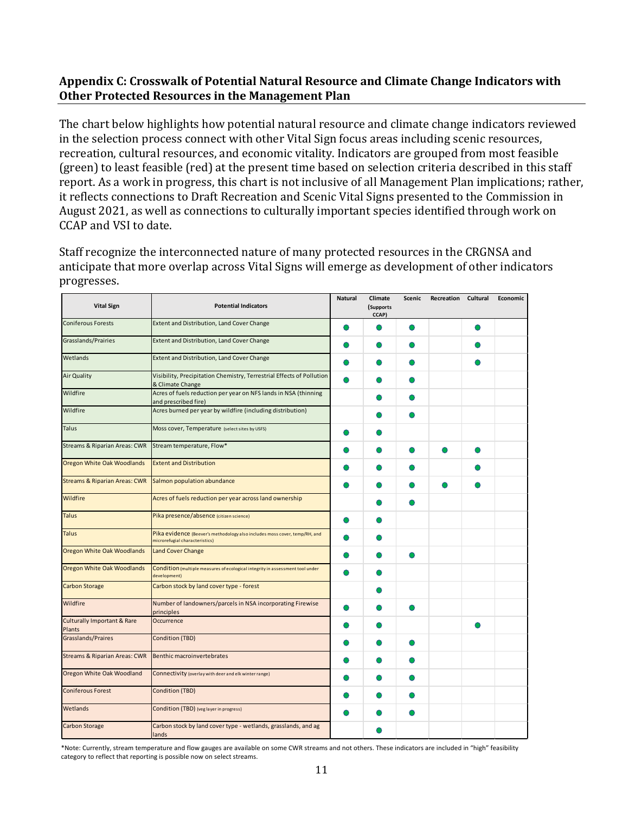#### <span id="page-10-0"></span>**Appendix C: Crosswalk of Potential Natural Resource and Climate Change Indicators with Other Protected Resources in the Management Plan**

The chart below highlights how potential natural resource and climate change indicators reviewed in the selection process connect with other Vital Sign focus areas including scenic resources, recreation, cultural resources, and economic vitality. Indicators are grouped from most feasible (green) to least feasible (red) at the present time based on selection criteria described in this staff report. As a work in progress, this chart is not inclusive of all Management Plan implications; rather, it reflects connections to Draft Recreation and Scenic Vital Signs presented to the Commission in August 2021, as well as connections to culturally important species identified through work on CCAP and VSI to date.

Staff recognize the interconnected nature of many protected resources in the CRGNSA and anticipate that more overlap across Vital Signs will emerge as development of other indicators progresses.

| <b>Vital Sign</b>                                | <b>Potential Indicators</b>                                                                                  | <b>Natural</b> | Climate<br>(Supports<br>CCAP) | Scenic | Recreation Cultural | Economic |
|--------------------------------------------------|--------------------------------------------------------------------------------------------------------------|----------------|-------------------------------|--------|---------------------|----------|
| <b>Coniferous Forests</b>                        | Extent and Distribution, Land Cover Change                                                                   |                |                               |        |                     |          |
| Grasslands/Prairies                              | Extent and Distribution, Land Cover Change                                                                   |                |                               |        |                     |          |
| Wetlands                                         | Extent and Distribution, Land Cover Change                                                                   |                |                               |        |                     |          |
| <b>Air Quality</b>                               | Visibility, Precipitation Chemistry, Terrestrial Effects of Pollution<br>& Climate Change                    |                |                               |        |                     |          |
| Wildfire                                         | Acres of fuels reduction per year on NFS lands in NSA (thinning<br>and prescribed fire)                      |                |                               |        |                     |          |
| Wildfire                                         | Acres burned per year by wildfire (including distribution)                                                   |                |                               |        |                     |          |
| Talus                                            | Moss cover, Temperature (select sites by USFS)                                                               |                |                               |        |                     |          |
| Streams & Riparian Areas: CWR                    | Stream temperature, Flow*                                                                                    |                |                               |        |                     |          |
| Oregon White Oak Woodlands                       | <b>Extent and Distribution</b>                                                                               |                |                               |        |                     |          |
| <b>Streams &amp; Riparian Areas: CWR</b>         | Salmon population abundance                                                                                  |                |                               |        |                     |          |
| Wildfire                                         | Acres of fuels reduction per year across land ownership                                                      |                |                               |        |                     |          |
| <b>Talus</b>                                     | Pika presence/absence (citizen science)                                                                      |                |                               |        |                     |          |
| <b>Talus</b>                                     | Pika evidence (Beever's methodology also includes moss cover, temp/RH, and<br>microrefugial characteristics) |                |                               |        |                     |          |
| <b>Oregon White Oak Woodlands</b>                | <b>Land Cover Change</b>                                                                                     |                |                               |        |                     |          |
| Oregon White Oak Woodlands                       | Condition (multiple measures of ecological integrity in assessment tool under<br>development)                |                |                               |        |                     |          |
| <b>Carbon Storage</b>                            | Carbon stock by land cover type - forest                                                                     |                |                               |        |                     |          |
| Wildfire                                         | Number of landowners/parcels in NSA incorporating Firewise<br>principles                                     |                |                               |        |                     |          |
| <b>Culturally Important &amp; Rare</b><br>Plants | Occurrence                                                                                                   |                |                               |        |                     |          |
| Grasslands/Praires                               | Condition (TBD)                                                                                              |                |                               |        |                     |          |
| <b>Streams &amp; Riparian Areas: CWR</b>         | <b>Benthic macroinvertebrates</b>                                                                            |                |                               |        |                     |          |
| Oregon White Oak Woodland                        | Connectivity (overlay with deer and elk winter range)                                                        |                |                               |        |                     |          |
| <b>Coniferous Forest</b>                         | Condition (TBD)                                                                                              |                |                               |        |                     |          |
| Wetlands                                         | Condition (TBD) (veg layer in progress)                                                                      |                |                               |        |                     |          |
| Carbon Storage                                   | Carbon stock by land cover type - wetlands, grasslands, and ag<br>lands                                      |                |                               |        |                     |          |

\*Note: Currently, stream temperature and flow gauges are available on some CWR streams and not others. These indicators are included in "high" feasibility category to reflect that reporting is possible now on select streams.